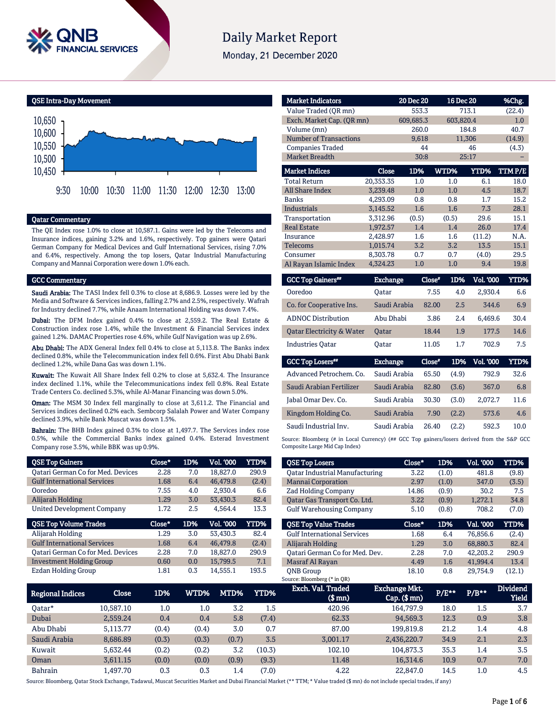

# **Daily Market Report**

Monday, 21 December 2020

QSE Intra-Day Movement



### Qatar Commentary

The QE Index rose 1.0% to close at 10,587.1. Gains were led by the Telecoms and Insurance indices, gaining 3.2% and 1.6%, respectively. Top gainers were Qatari German Company for Medical Devices and Gulf International Services, rising 7.0% and 6.4%, respectively. Among the top losers, Qatar Industrial Manufacturing Company and Mannai Corporation were down 1.0% each.

#### GCC Commentary

Saudi Arabia: The TASI Index fell 0.3% to close at 8,686.9. Losses were led by the Media and Software & Services indices, falling 2.7% and 2.5%, respectively. Wafrah for Industry declined 7.7%, while Anaam International Holding was down 7.4%.

Dubai: The DFM Index gained 0.4% to close at 2,559.2. The Real Estate & Construction index rose 1.4%, while the Investment & Financial Services index gained 1.2%. DAMAC Properties rose 4.6%, while Gulf Navigation was up 2.6%.

Abu Dhabi: The ADX General Index fell 0.4% to close at 5,113.8. The Banks index declined 0.8%, while the Telecommunication index fell 0.6%. First Abu Dhabi Bank declined 1.2%, while Dana Gas was down 1.1%.

Kuwait: The Kuwait All Share Index fell 0.2% to close at 5,632.4. The Insurance index declined 1.1%, while the Telecommunications index fell 0.8%. Real Estate Trade Centers Co. declined 5.3%, while Al-Manar Financing was down 5.0%.

Oman: The MSM 30 Index fell marginally to close at 3,611.2. The Financial and Services indices declined 0.2% each. Sembcorp Salalah Power and Water Company declined 3.9%, while Bank Muscat was down 1.5%.

Bahrain: The BHB Index gained 0.3% to close at 1,497.7. The Services index rose 0.5%, while the Commercial Banks index gained 0.4%. Esterad Investment Company rose 3.5%, while BBK was up 0.9%.

| <b>QSE Top Gainers</b>                   | Close* | 1D% | Vol. '000 | YTD%  |
|------------------------------------------|--------|-----|-----------|-------|
| <b>Qatari German Co for Med. Devices</b> | 2.28   | 7.0 | 18,827.0  | 290.9 |
| <b>Gulf International Services</b>       | 1.68   | 6.4 | 46,479.8  | (2.4) |
| Ooredoo                                  | 7.55   | 4.0 | 2,930.4   | 6.6   |
| Alijarah Holding                         | 1.29   | 3.0 | 53,430.3  | 82.4  |
| United Development Company               | 1.72   | 2.5 | 4.564.4   | 13.3  |
|                                          |        |     |           |       |
| <b>QSE Top Volume Trades</b>             | Close* | 1D% | Vol. '000 | YTD%  |
| Alijarah Holding                         | 1.29   | 3.0 | 53.430.3  | 82.4  |
| <b>Gulf International Services</b>       | 1.68   | 6.4 | 46,479.8  | (2.4) |
| <b>Qatari German Co for Med. Devices</b> | 2.28   | 7.0 | 18,827.0  | 290.9 |
| <b>Investment Holding Group</b>          | 0.60   | 0.0 | 15.799.5  | 7.1   |

| <b>Market Indicators</b>      |                 | 20 Dec 20 | 16 Dec 20     |                  | %Chg.       |
|-------------------------------|-----------------|-----------|---------------|------------------|-------------|
| Value Traded (OR mn)          |                 | 553.3     |               | 713.1            | (22.4)      |
| Exch. Market Cap. (QR mn)     |                 | 609,685.3 | 603,820.4     |                  | 1.0         |
| Volume (mn)                   |                 | 260.0     |               | 184.8            | 40.7        |
| <b>Number of Transactions</b> |                 | 9,618     |               | 11,306           | (14.9)      |
| <b>Companies Traded</b>       |                 | 44        |               | 46               | (4.3)       |
| <b>Market Breadth</b>         |                 | 30:8      |               | 25:17            |             |
| <b>Market Indices</b>         | <b>Close</b>    | 1D%       | WTD%          | <b>YTD%</b>      | TTMP/E      |
| <b>Total Return</b>           | 20,353.35       | 1.0       | 1.0           | 6.1              | 18.0        |
| <b>All Share Index</b>        | 3,239.48        | 1.0       | 1.0           | 4.5              | 18.7        |
| <b>Banks</b>                  | 4,293.09        | 0.8       | 0.8           | 1.7              | 15.2        |
| <b>Industrials</b>            | 3,145.52        | 1.6       | 1.6           | 7.3              | 28.1        |
| Transportation                | 3,312.96        | (0.5)     | (0.5)         | 29.6             | 15.1        |
| <b>Real Estate</b>            | 1,972.57        | 1.4       | 1.4           | 26.0             | 17.4        |
| Insurance                     | 2,428.97        | 1.6       | 1.6           | (11.2)           | N.A.        |
| <b>Telecoms</b>               | 1,015.74        | 3.2       | 3.2           | 13.5             | 15.1        |
| Consumer                      | 8,303.78        | 0.7       | 0.7           | (4.0)            | 29.5        |
| Al Rayan Islamic Index        | 4,324.23        | 1.0       | 1.0           | 9.4              | 19.8        |
| <b>GCC Top Gainers**</b>      | <b>Exchange</b> |           | Close*<br>1D% | <b>Vol. '000</b> | <b>YTD%</b> |
| Ooredoo                       | Oatar           |           | 7.55<br>4.0   | 2.930.4          | 6.6         |

| Ooredoo                              | Oatar        | 7.55  | 4.0 | 2.930.4 | 6.6  |
|--------------------------------------|--------------|-------|-----|---------|------|
| Co. for Cooperative Ins.             | Saudi Arabia | 82.00 | 2.5 | 344.6   | 6.9  |
| <b>ADNOC Distribution</b>            | Abu Dhabi    | 3.86  | 2.4 | 6.469.6 | 30.4 |
| <b>Oatar Electricity &amp; Water</b> | <b>Oatar</b> | 18.44 | 1.9 | 177.5   | 14.6 |
| <b>Industries Oatar</b>              | Oatar        | 11.05 | 1.7 | 702.9   | 7.5  |

| <b>GCC Top Losers</b>    | <b>Exchange</b> | Close* | 1D%   | <b>Vol. '000</b> | YTD% |
|--------------------------|-----------------|--------|-------|------------------|------|
| Advanced Petrochem. Co.  | Saudi Arabia    | 65.50  | (4.9) | 792.9            | 32.6 |
| Saudi Arabian Fertilizer | Saudi Arabia    | 82.80  | (3.6) | 367.0            | 6.8  |
| Jabal Omar Dev. Co.      | Saudi Arabia    | 30.30  | (3.0) | 2.072.7          | 11.6 |
| Kingdom Holding Co.      | Saudi Arabia    | 7.90   | (2.2) | 573.6            | 4.6  |
| Saudi Industrial Inv.    | Saudi Arabia    | 26.40  | (2.2) | 592.3            | 10.0 |

Source: Bloomberg (# in Local Currency) (## GCC Top gainers/losers derived from the S&P GCC Composite Large Mid Cap Index)

| <b>QSE Top Losers</b>                 | Close* | 1D%   | Vol. '000 | YTD%        |
|---------------------------------------|--------|-------|-----------|-------------|
| <b>Oatar Industrial Manufacturing</b> | 3.22   | (1.0) | 481.8     | (9.8)       |
| <b>Mannai Corporation</b>             | 2.97   | (1.0) | 347.0     | (3.5)       |
| <b>Zad Holding Company</b>            | 14.86  | (0.9) | 30.2      | 7.5         |
| Qatar Gas Transport Co. Ltd.          | 3.22   | (0.9) | 1,272.1   | 34.8        |
| <b>Gulf Warehousing Company</b>       | 5.10   | (0.8) | 708.2     | (7.0)       |
|                                       |        |       |           |             |
| <b>OSE Top Value Trades</b>           | Close* | 1D%   | Val. '000 | <b>YTD%</b> |
| <b>Gulf International Services</b>    | 1.68   | 6.4   | 76.856.6  | (2.4)       |
| Alijarah Holding                      | 1.29   | 3.0   | 68.880.3  | 82.4        |
| Oatari German Co for Med. Dev.        | 2.28   | 7.0   | 42.203.2  | 290.9       |
| Masraf Al Rayan                       | 4.49   | 1.6   | 41.994.4  | 13.4        |

| Regional Indices | Close     | 1D%   | WTD%' | MTD%  | YTD%    | Exch. Val. Traded<br>$$$ mn $)$ | Exchange Mkt.<br>$Cap.$ (\$ mn) | P/E** | $P/B***$ | <b>Dividend</b><br><b>Yield</b> |
|------------------|-----------|-------|-------|-------|---------|---------------------------------|---------------------------------|-------|----------|---------------------------------|
| 0atar*           | 10.587.10 | 1.0   | 1.0   | 3.2   | $1.5\,$ | 420.96                          | 164.797.9                       | 18.0  | 1.5      | 3.7                             |
| Dubai            | 2.559.24  | 0.4   | 0.4   | 5.8   | (7.4)   | 62.33                           | 94,569.3                        | 12.3  | 0.9      | 3.8                             |
| Abu Dhabi        | 5.113.77  | (0.4) | (0.4) | 3.0   | 0.7     | 87.00                           | 199.819.8                       | 21.2  | 1.4      | 4.8                             |
| Saudi Arabia     | 8,686.89  | (0.3) | (0.3) | (0.7) | 3.5     | 3,001.17                        | 2,436,220.7                     | 34.9  | 2.1      | 2.3                             |
| Kuwait           | 5.632.44  | (0.2) | (0.2) | 3.2   | (10.3)  | 102.10                          | 104,873.3                       | 35.3  | 1.4      | 3.5                             |
| Oman             | 3,611.15  | (0.0) | (0.0) | (0.9) | (9.3)   | 11.48                           | 16.314.6                        | 10.9  | 0.7      | 7.0                             |
| Bahrain          | .497.70   | 0.3   | 0.3   | 1.4   | (7.0)   | 4.22                            | 22,847.0                        | 14.5  | $1.0\,$  | 4.5                             |

Source: Bloomberg, Qatar Stock Exchange, Tadawul, Muscat Securities Market and Dubai Financial Market (\*\* TTM; \* Value traded (\$ mn) do not include special trades, if any)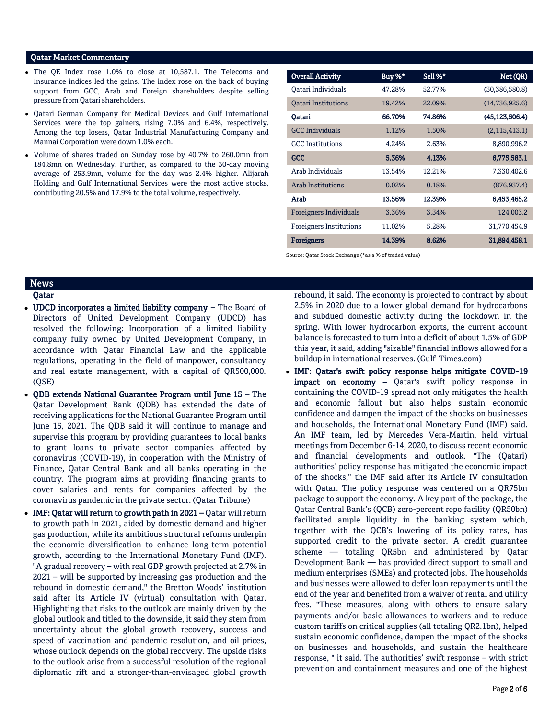## Qatar Market Commentary

- The QE Index rose 1.0% to close at 10,587.1. The Telecoms and Insurance indices led the gains. The index rose on the back of buying support from GCC, Arab and Foreign shareholders despite selling pressure from Qatari shareholders.
- Qatari German Company for Medical Devices and Gulf International Services were the top gainers, rising 7.0% and 6.4%, respectively. Among the top losers, Qatar Industrial Manufacturing Company and Mannai Corporation were down 1.0% each.
- Volume of shares traded on Sunday rose by 40.7% to 260.0mn from 184.8mn on Wednesday. Further, as compared to the 30-day moving average of 253.9mn, volume for the day was 2.4% higher. Alijarah Holding and Gulf International Services were the most active stocks, contributing 20.5% and 17.9% to the total volume, respectively.

| <b>Overall Activity</b>        | Buy %* | Sell %* | Net (QR)         |
|--------------------------------|--------|---------|------------------|
| Oatari Individuals             | 47.28% | 52.77%  | (30, 386, 580.8) |
| <b>Oatari Institutions</b>     | 19.42% | 22.09%  | (14,736,925.6)   |
| Qatari                         | 66.70% | 74.86%  | (45, 123, 506.4) |
| <b>GCC</b> Individuals         | 1.12%  | 1.50%   | (2,115,413.1)    |
| <b>GCC</b> Institutions        | 4.24%  | 2.63%   | 8,890,996.2      |
| <b>GCC</b>                     | 5.36%  | 4.13%   | 6,775,583.1      |
| Arab Individuals               | 13.54% | 12.21%  | 7,330,402.6      |
| <b>Arab Institutions</b>       | 0.02%  | 0.18%   | (876, 937.4)     |
| Arab                           | 13.56% | 12.39%  | 6,453,465.2      |
| Foreigners Individuals         | 3.36%  | 3.34%   | 124,003.2        |
| <b>Foreigners Institutions</b> | 11.02% | 5.28%   | 31,770,454.9     |
| <b>Foreigners</b>              | 14.39% | 8.62%   | 31,894,458.1     |

Source: Qatar Stock Exchange (\*as a % of traded value)

# News Qatar

- 
- UDCD incorporates a limited liability company The Board of Directors of United Development Company (UDCD) has resolved the following: Incorporation of a limited liability company fully owned by United Development Company, in accordance with Qatar Financial Law and the applicable regulations, operating in the field of manpower, consultancy and real estate management, with a capital of QR500,000. (QSE)
- QDB extends National Guarantee Program until June 15 The Qatar Development Bank (QDB) has extended the date of receiving applications for the National Guarantee Program until June 15, 2021. The QDB said it will continue to manage and supervise this program by providing guarantees to local banks to grant loans to private sector companies affected by coronavirus (COVID-19), in cooperation with the Ministry of Finance, Qatar Central Bank and all banks operating in the country. The program aims at providing financing grants to cover salaries and rents for companies affected by the coronavirus pandemic in the private sector. (Qatar Tribune)
- IMF: Qatar will return to growth path in 2021 Qatar will return to growth path in 2021, aided by domestic demand and higher gas production, while its ambitious structural reforms underpin the economic diversification to enhance long-term potential growth, according to the International Monetary Fund (IMF). "A gradual recovery – with real GDP growth projected at 2.7% in 2021 – will be supported by increasing gas production and the rebound in domestic demand," the Bretton Woods' institution said after its Article IV (virtual) consultation with Qatar. Highlighting that risks to the outlook are mainly driven by the global outlook and titled to the downside, it said they stem from uncertainty about the global growth recovery, success and speed of vaccination and pandemic resolution, and oil prices, whose outlook depends on the global recovery. The upside risks to the outlook arise from a successful resolution of the regional diplomatic rift and a stronger-than-envisaged global growth

rebound, it said. The economy is projected to contract by about 2.5% in 2020 due to a lower global demand for hydrocarbons and subdued domestic activity during the lockdown in the spring. With lower hydrocarbon exports, the current account balance is forecasted to turn into a deficit of about 1.5% of GDP this year, it said, adding "sizable" financial inflows allowed for a buildup in international reserves. (Gulf-Times.com)

 IMF: Qatar's swift policy response helps mitigate COVID-19 impact on economy - Qatar's swift policy response in containing the COVID-19 spread not only mitigates the health and economic fallout but also helps sustain economic confidence and dampen the impact of the shocks on businesses and households, the International Monetary Fund (IMF) said. An IMF team, led by Mercedes Vera-Martin, held virtual meetings from December 6-14, 2020, to discuss recent economic and financial developments and outlook. "The (Qatari) authorities' policy response has mitigated the economic impact of the shocks," the IMF said after its Article IV consultation with Qatar. The policy response was centered on a QR75bn package to support the economy. A key part of the package, the Qatar Central Bank's (QCB) zero-percent repo facility (QR50bn) facilitated ample liquidity in the banking system which, together with the QCB's lowering of its policy rates, has supported credit to the private sector. A credit guarantee scheme — totaling QR5bn and administered by Qatar Development Bank — has provided direct support to small and medium enterprises (SMEs) and protected jobs. The households and businesses were allowed to defer loan repayments until the end of the year and benefited from a waiver of rental and utility fees. "These measures, along with others to ensure salary payments and/or basic allowances to workers and to reduce custom tariffs on critical supplies (all totaling QR2.1bn), helped sustain economic confidence, dampen the impact of the shocks on businesses and households, and sustain the healthcare response, " it said. The authorities' swift response – with strict prevention and containment measures and one of the highest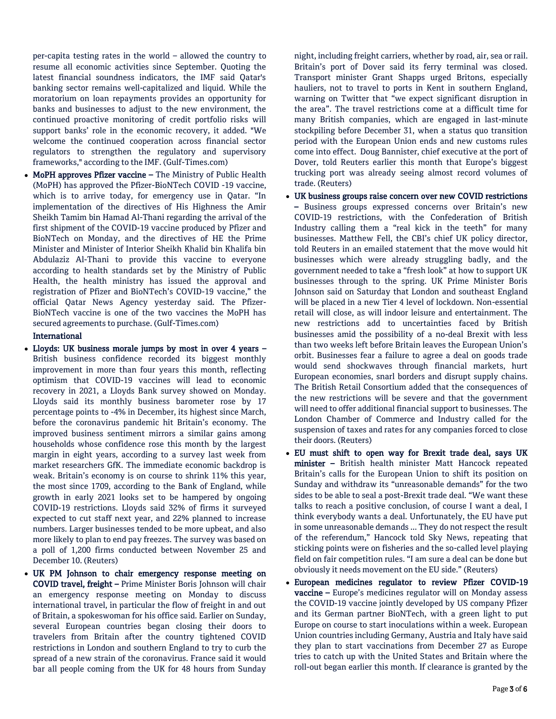per-capita testing rates in the world – allowed the country to resume all economic activities since September. Quoting the latest financial soundness indicators, the IMF said Qatar's banking sector remains well-capitalized and liquid. While the moratorium on loan repayments provides an opportunity for banks and businesses to adjust to the new environment, the continued proactive monitoring of credit portfolio risks will support banks' role in the economic recovery, it added. "We welcome the continued cooperation across financial sector regulators to strengthen the regulatory and supervisory frameworks," according to the IMF. (Gulf-Times.com)

• MoPH approves Pfizer vaccine – The Ministry of Public Health (MoPH) has approved the Pfizer-BioNTech COVID -19 vaccine, which is to arrive today, for emergency use in Qatar. "In implementation of the directives of His Highness the Amir Sheikh Tamim bin Hamad Al-Thani regarding the arrival of the first shipment of the COVID-19 vaccine produced by Pfizer and BioNTech on Monday, and the directives of HE the Prime Minister and Minister of Interior Sheikh Khalid bin Khalifa bin Abdulaziz Al-Thani to provide this vaccine to everyone according to health standards set by the Ministry of Public Health, the health ministry has issued the approval and registration of Pfizer and BioNTech's COVID-19 vaccine," the official Qatar News Agency yesterday said. The Pfizer-BioNTech vaccine is one of the two vaccines the MoPH has secured agreements to purchase. (Gulf-Times.com)

### International

- Lloyds: UK business morale jumps by most in over 4 years British business confidence recorded its biggest monthly improvement in more than four years this month, reflecting optimism that COVID-19 vaccines will lead to economic recovery in 2021, a Lloyds Bank survey showed on Monday. Lloyds said its monthly business barometer rose by 17 percentage points to -4% in December, its highest since March, before the coronavirus pandemic hit Britain's economy. The improved business sentiment mirrors a similar gains among households whose confidence rose this month by the largest margin in eight years, according to a survey last week from market researchers GfK. The immediate economic backdrop is weak. Britain's economy is on course to shrink 11% this year, the most since 1709, according to the Bank of England, while growth in early 2021 looks set to be hampered by ongoing COVID-19 restrictions. Lloyds said 32% of firms it surveyed expected to cut staff next year, and 22% planned to increase numbers. Larger businesses tended to be more upbeat, and also more likely to plan to end pay freezes. The survey was based on a poll of 1,200 firms conducted between November 25 and December 10. (Reuters)
- UK PM Johnson to chair emergency response meeting on COVID travel, freight – Prime Minister Boris Johnson will chair an emergency response meeting on Monday to discuss international travel, in particular the flow of freight in and out of Britain, a spokeswoman for his office said. Earlier on Sunday, several European countries began closing their doors to travelers from Britain after the country tightened COVID restrictions in London and southern England to try to curb the spread of a new strain of the coronavirus. France said it would bar all people coming from the UK for 48 hours from Sunday

night, including freight carriers, whether by road, air, sea or rail. Britain's port of Dover said its ferry terminal was closed. Transport minister Grant Shapps urged Britons, especially hauliers, not to travel to ports in Kent in southern England, warning on Twitter that "we expect significant disruption in the area". The travel restrictions come at a difficult time for many British companies, which are engaged in last-minute stockpiling before December 31, when a status quo transition period with the European Union ends and new customs rules come into effect. Doug Bannister, chief executive at the port of Dover, told Reuters earlier this month that Europe's biggest trucking port was already seeing almost record volumes of trade. (Reuters)

- UK business groups raise concern over new COVID restrictions – Business groups expressed concerns over Britain's new COVID-19 restrictions, with the Confederation of British Industry calling them a "real kick in the teeth" for many businesses. Matthew Fell, the CBI's chief UK policy director, told Reuters in an emailed statement that the move would hit businesses which were already struggling badly, and the government needed to take a "fresh look" at how to support UK businesses through to the spring. UK Prime Minister Boris Johnson said on Saturday that London and southeast England will be placed in a new Tier 4 level of lockdown. Non-essential retail will close, as will indoor leisure and entertainment. The new restrictions add to uncertainties faced by British businesses amid the possibility of a no-deal Brexit with less than two weeks left before Britain leaves the European Union's orbit. Businesses fear a failure to agree a deal on goods trade would send shockwaves through financial markets, hurt European economies, snarl borders and disrupt supply chains. The British Retail Consortium added that the consequences of the new restrictions will be severe and that the government will need to offer additional financial support to businesses. The London Chamber of Commerce and Industry called for the suspension of taxes and rates for any companies forced to close their doors. (Reuters)
- EU must shift to open way for Brexit trade deal, says UK minister - British health minister Matt Hancock repeated Britain's calls for the European Union to shift its position on Sunday and withdraw its "unreasonable demands" for the two sides to be able to seal a post-Brexit trade deal. "We want these talks to reach a positive conclusion, of course I want a deal, I think everybody wants a deal. Unfortunately, the EU have put in some unreasonable demands ... They do not respect the result of the referendum," Hancock told Sky News, repeating that sticking points were on fisheries and the so-called level playing field on fair competition rules. "I am sure a deal can be done but obviously it needs movement on the EU side." (Reuters)
- European medicines regulator to review Pfizer COVID-19 vaccine – Europe's medicines regulator will on Monday assess the COVID-19 vaccine jointly developed by US company Pfizer and its German partner BioNTech, with a green light to put Europe on course to start inoculations within a week. European Union countries including Germany, Austria and Italy have said they plan to start vaccinations from December 27 as Europe tries to catch up with the United States and Britain where the roll-out began earlier this month. If clearance is granted by the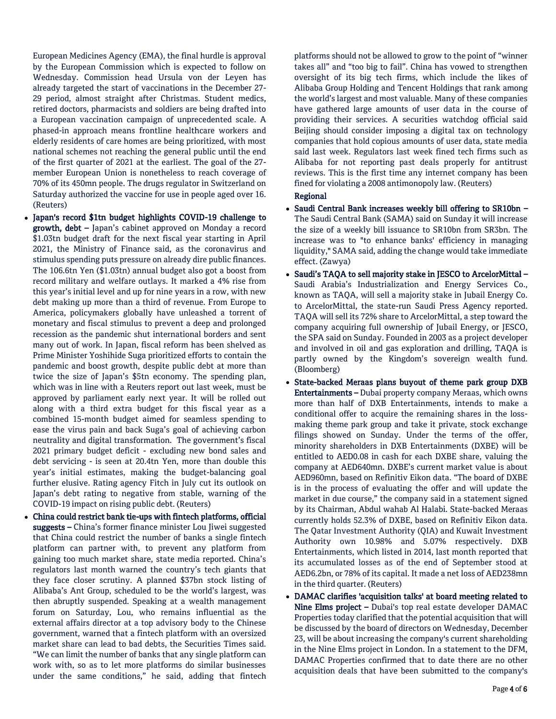European Medicines Agency (EMA), the final hurdle is approval by the European Commission which is expected to follow on Wednesday. Commission head Ursula von der Leyen has already targeted the start of vaccinations in the December 27- 29 period, almost straight after Christmas. Student medics, retired doctors, pharmacists and soldiers are being drafted into a European vaccination campaign of unprecedented scale. A phased-in approach means frontline healthcare workers and elderly residents of care homes are being prioritized, with most national schemes not reaching the general public until the end of the first quarter of 2021 at the earliest. The goal of the 27 member European Union is nonetheless to reach coverage of 70% of its 450mn people. The drugs regulator in Switzerland on Saturday authorized the vaccine for use in people aged over 16. (Reuters)

- Japan's record \$1tn budget highlights COVID-19 challenge to growth, debt – Japan's cabinet approved on Monday a record \$1.03tn budget draft for the next fiscal year starting in April 2021, the Ministry of Finance said, as the coronavirus and stimulus spending puts pressure on already dire public finances. The 106.6tn Yen (\$1.03tn) annual budget also got a boost from record military and welfare outlays. It marked a 4% rise from this year's initial level and up for nine years in a row, with new debt making up more than a third of revenue. From Europe to America, policymakers globally have unleashed a torrent of monetary and fiscal stimulus to prevent a deep and prolonged recession as the pandemic shut international borders and sent many out of work. In Japan, fiscal reform has been shelved as Prime Minister Yoshihide Suga prioritized efforts to contain the pandemic and boost growth, despite public debt at more than twice the size of Japan's \$5tn economy. The spending plan, which was in line with a Reuters report out last week, must be approved by parliament early next year. It will be rolled out along with a third extra budget for this fiscal year as a combined 15-month budget aimed for seamless spending to ease the virus pain and back Suga's goal of achieving carbon neutrality and digital transformation. The government's fiscal 2021 primary budget deficit - excluding new bond sales and debt servicing - is seen at 20.4tn Yen, more than double this year's initial estimates, making the budget-balancing goal further elusive. Rating agency Fitch in July cut its outlook on Japan's debt rating to negative from stable, warning of the COVID-19 impact on rising public debt. (Reuters)
- China could restrict bank tie-ups with fintech platforms, official suggests – China's former finance minister Lou Jiwei suggested that China could restrict the number of banks a single fintech platform can partner with, to prevent any platform from gaining too much market share, state media reported. China's regulators last month warned the country's tech giants that they face closer scrutiny. A planned \$37bn stock listing of Alibaba's Ant Group, scheduled to be the world's largest, was then abruptly suspended. Speaking at a wealth management forum on Saturday, Lou, who remains influential as the external affairs director at a top advisory body to the Chinese government, warned that a fintech platform with an oversized market share can lead to bad debts, the Securities Times said. "We can limit the number of banks that any single platform can work with, so as to let more platforms do similar businesses under the same conditions," he said, adding that fintech

platforms should not be allowed to grow to the point of "winner takes all" and "too big to fail". China has vowed to strengthen oversight of its big tech firms, which include the likes of Alibaba Group Holding and Tencent Holdings that rank among the world's largest and most valuable. Many of these companies have gathered large amounts of user data in the course of providing their services. A securities watchdog official said Beijing should consider imposing a digital tax on technology companies that hold copious amounts of user data, state media said last week. Regulators last week fined tech firms such as Alibaba for not reporting past deals properly for antitrust reviews. This is the first time any internet company has been fined for violating a 2008 antimonopoly law. (Reuters) Regional

- Saudi Central Bank increases weekly bill offering to SR10bn The Saudi Central Bank (SAMA) said on Sunday it will increase the size of a weekly bill issuance to SR10bn from SR3bn. The increase was to "to enhance banks' efficiency in managing liquidity," SAMA said, adding the change would take immediate effect. (Zawya)
- Saudi's TAQA to sell majority stake in JESCO to ArcelorMittal Saudi Arabia's Industrialization and Energy Services Co., known as TAQA, will sell a majority stake in Jubail Energy Co. to ArcelorMittal, the state-run Saudi Press Agency reported. TAQA will sell its 72% share to ArcelorMittal, a step toward the company acquiring full ownership of Jubail Energy, or JESCO, the SPA said on Sunday. Founded in 2003 as a project developer and involved in oil and gas exploration and drilling, TAQA is partly owned by the Kingdom's sovereign wealth fund. (Bloomberg)
- State-backed Meraas plans buyout of theme park group DXB Entertainments – Dubai property company Meraas, which owns more than half of DXB Entertainments, intends to make a conditional offer to acquire the remaining shares in the lossmaking theme park group and take it private, stock exchange filings showed on Sunday. Under the terms of the offer, minority shareholders in DXB Entertainments (DXBE) will be entitled to AED0.08 in cash for each DXBE share, valuing the company at AED640mn. DXBE's current market value is about AED960mn, based on Refinitiv Eikon data. "The board of DXBE is in the process of evaluating the offer and will update the market in due course," the company said in a statement signed by its Chairman, Abdul wahab Al Halabi. State-backed Meraas currently holds 52.3% of DXBE, based on Refinitiv Eikon data. The Qatar Investment Authority (QIA) and Kuwait Investment Authority own 10.98% and 5.07% respectively. DXB Entertainments, which listed in 2014, last month reported that its accumulated losses as of the end of September stood at AED6.2bn, or 78% of its capital. It made a net loss of AED238mn in the third quarter. (Reuters)
- DAMAC clarifies 'acquisition talks' at board meeting related to Nine Elms project - Dubai's top real estate developer DAMAC Properties today clarified that the potential acquisition that will be discussed by the board of directors on Wednesday, December 23, will be about increasing the company's current shareholding in the Nine Elms project in London. In a statement to the DFM, DAMAC Properties confirmed that to date there are no other acquisition deals that have been submitted to the company's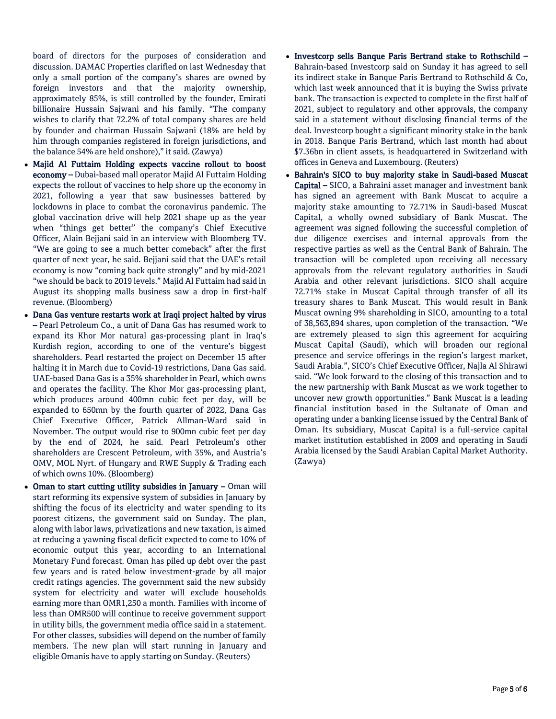board of directors for the purposes of consideration and discussion. DAMAC Properties clarified on last Wednesday that only a small portion of the company's shares are owned by foreign investors and that the majority ownership, approximately 85%, is still controlled by the founder, Emirati billionaire Hussain Sajwani and his family. "The company wishes to clarify that 72.2% of total company shares are held by founder and chairman Hussain Sajwani (18% are held by him through companies registered in foreign jurisdictions, and the balance 54% are held onshore)," it said. (Zawya)

- Majid Al Futtaim Holding expects vaccine rollout to boost economy – Dubai-based mall operator Majid Al Futtaim Holding expects the rollout of vaccines to help shore up the economy in 2021, following a year that saw businesses battered by lockdowns in place to combat the coronavirus pandemic. The global vaccination drive will help 2021 shape up as the year when "things get better" the company's Chief Executive Officer, Alain Bejjani said in an interview with Bloomberg TV. "We are going to see a much better comeback" after the first quarter of next year, he said. Bejjani said that the UAE's retail economy is now "coming back quite strongly" and by mid-2021 "we should be back to 2019 levels." Majid Al Futtaim had said in August its shopping malls business saw a drop in first-half revenue. (Bloomberg)
- Dana Gas venture restarts work at Iraqi project halted by virus – Pearl Petroleum Co., a unit of Dana Gas has resumed work to expand its Khor Mor natural gas-processing plant in Iraq's Kurdish region, according to one of the venture's biggest shareholders. Pearl restarted the project on December 15 after halting it in March due to Covid-19 restrictions, Dana Gas said. UAE-based Dana Gas is a 35% shareholder in Pearl, which owns and operates the facility. The Khor Mor gas-processing plant, which produces around 400mn cubic feet per day, will be expanded to 650mn by the fourth quarter of 2022, Dana Gas Chief Executive Officer, Patrick Allman-Ward said in November. The output would rise to 900mn cubic feet per day by the end of 2024, he said. Pearl Petroleum's other shareholders are Crescent Petroleum, with 35%, and Austria's OMV, MOL Nyrt. of Hungary and RWE Supply & Trading each of which owns 10%. (Bloomberg)
- Oman to start cutting utility subsidies in January Oman will start reforming its expensive system of subsidies in January by shifting the focus of its electricity and water spending to its poorest citizens, the government said on Sunday. The plan, along with labor laws, privatizations and new taxation, is aimed at reducing a yawning fiscal deficit expected to come to 10% of economic output this year, according to an International Monetary Fund forecast. Oman has piled up debt over the past few years and is rated below investment-grade by all major credit ratings agencies. The government said the new subsidy system for electricity and water will exclude households earning more than OMR1,250 a month. Families with income of less than OMR500 will continue to receive government support in utility bills, the government media office said in a statement. For other classes, subsidies will depend on the number of family members. The new plan will start running in January and eligible Omanis have to apply starting on Sunday. (Reuters)
- Investcorp sells Banque Paris Bertrand stake to Rothschild -Bahrain-based Investcorp said on Sunday it has agreed to sell its indirect stake in Banque Paris Bertrand to Rothschild & Co, which last week announced that it is buying the Swiss private bank. The transaction is expected to complete in the first half of 2021, subject to regulatory and other approvals, the company said in a statement without disclosing financial terms of the deal. Investcorp bought a significant minority stake in the bank in 2018. Banque Paris Bertrand, which last month had about \$7.36bn in client assets, is headquartered in Switzerland with offices in Geneva and Luxembourg. (Reuters)
- Bahrain's SICO to buy majority stake in Saudi-based Muscat Capital – SICO, a Bahraini asset manager and investment bank has signed an agreement with Bank Muscat to acquire a majority stake amounting to 72.71% in Saudi-based Muscat Capital, a wholly owned subsidiary of Bank Muscat. The agreement was signed following the successful completion of due diligence exercises and internal approvals from the respective parties as well as the Central Bank of Bahrain. The transaction will be completed upon receiving all necessary approvals from the relevant regulatory authorities in Saudi Arabia and other relevant jurisdictions. SICO shall acquire 72.71% stake in Muscat Capital through transfer of all its treasury shares to Bank Muscat. This would result in Bank Muscat owning 9% shareholding in SICO, amounting to a total of 38,563,894 shares, upon completion of the transaction. "We are extremely pleased to sign this agreement for acquiring Muscat Capital (Saudi), which will broaden our regional presence and service offerings in the region's largest market, Saudi Arabia.", SICO's Chief Executive Officer, Najla Al Shirawi said. "We look forward to the closing of this transaction and to the new partnership with Bank Muscat as we work together to uncover new growth opportunities." Bank Muscat is a leading financial institution based in the Sultanate of Oman and operating under a banking license issued by the Central Bank of Oman. Its subsidiary, Muscat Capital is a full-service capital market institution established in 2009 and operating in Saudi Arabia licensed by the Saudi Arabian Capital Market Authority. (Zawya)